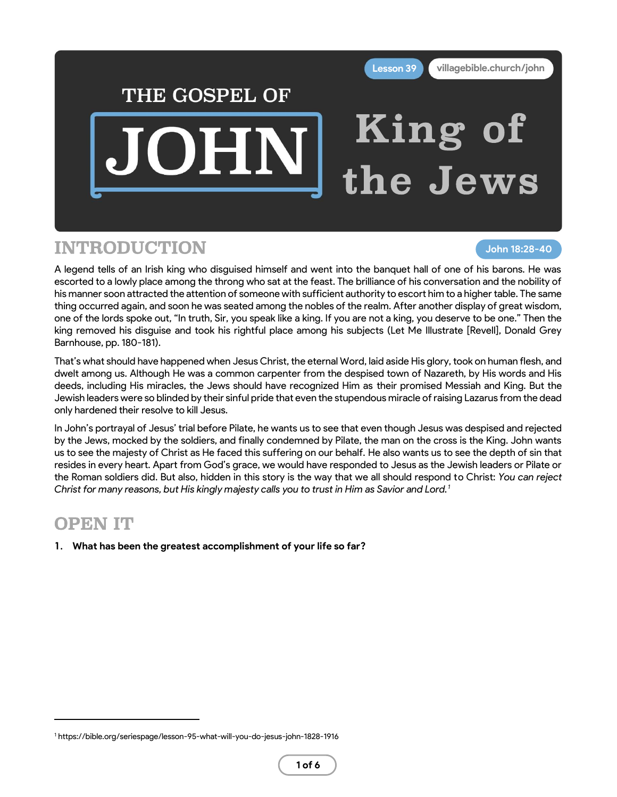

## INTRODUCTION

**John 18:28-40**

A legend tells of an Irish king who disguised himself and went into the banquet hall of one of his barons. He was escorted to a lowly place among the throng who sat at the feast. The brilliance of his conversation and the nobility of his manner soon attracted the attention of someone with sufficient authority to escort him to a higher table. The same thing occurred again, and soon he was seated among the nobles of the realm. After another display of great wisdom, one of the lords spoke out, "In truth, Sir, you speak like a king. If you are not a king, you deserve to be one." Then the king removed his disguise and took his rightful place among his subjects (Let Me Illustrate [Revell], Donald Grey Barnhouse, pp. 180-181).

That's what should have happened when Jesus Christ, the eternal Word, laid aside His glory, took on human flesh, and dwelt among us. Although He was a common carpenter from the despised town of Nazareth, by His words and His deeds, including His miracles, the Jews should have recognized Him as their promised Messiah and King. But the Jewish leaders were so blinded by their sinful pride that even the stupendous miracle of raising Lazarus from the dead only hardened their resolve to kill Jesus.

In John's portrayal of Jesus' trial before Pilate, he wants us to see that even though Jesus was despised and rejected by the Jews, mocked by the soldiers, and finally condemned by Pilate, the man on the cross is the King. John wants us to see the majesty of Christ as He faced this suffering on our behalf. He also wants us to see the depth of sin that resides in every heart. Apart from God's grace, we would have responded to Jesus as the Jewish leaders or Pilate or the Roman soldiers did. But also, hidden in this story is the way that we all should respond to Christ: *You can reject Christ for many reasons, but His kingly majesty calls you to trust in Him as Savior and Lord.<sup>1</sup>*

#### OPEN IT

**1. What has been the greatest accomplishment of your life so far?**

<sup>1</sup> https://bible.org/seriespage/lesson-95-what-will-you-do-jesus-john-1828-1916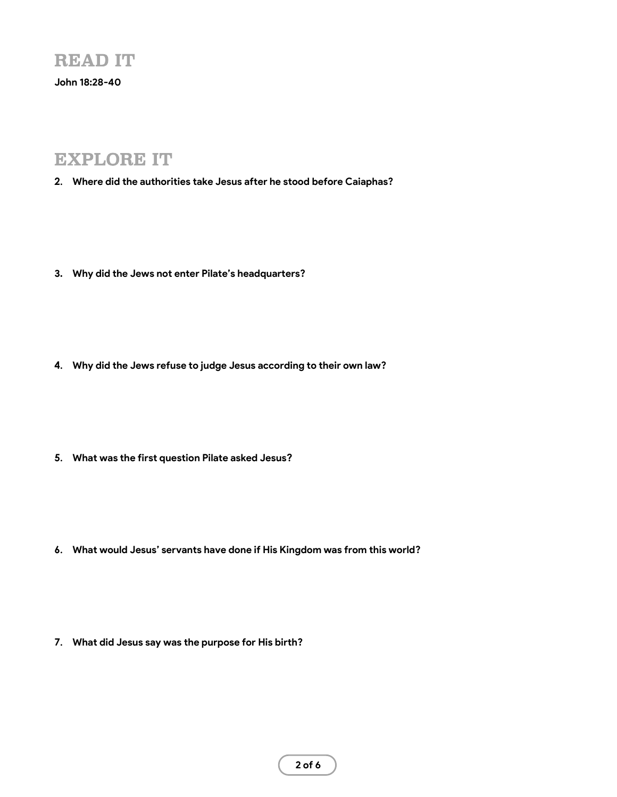**John 18:28-40**

### EXPLORE IT

- **2. Where did the authorities take Jesus after he stood before Caiaphas?**
- **3. Why did the Jews not enter Pilate's headquarters?**
- **4. Why did the Jews refuse to judge Jesus according to their own law?**
- **5. What was the first question Pilate asked Jesus?**

**6. What would Jesus' servants have done if His Kingdom was from this world?**

**7. What did Jesus say was the purpose for His birth?**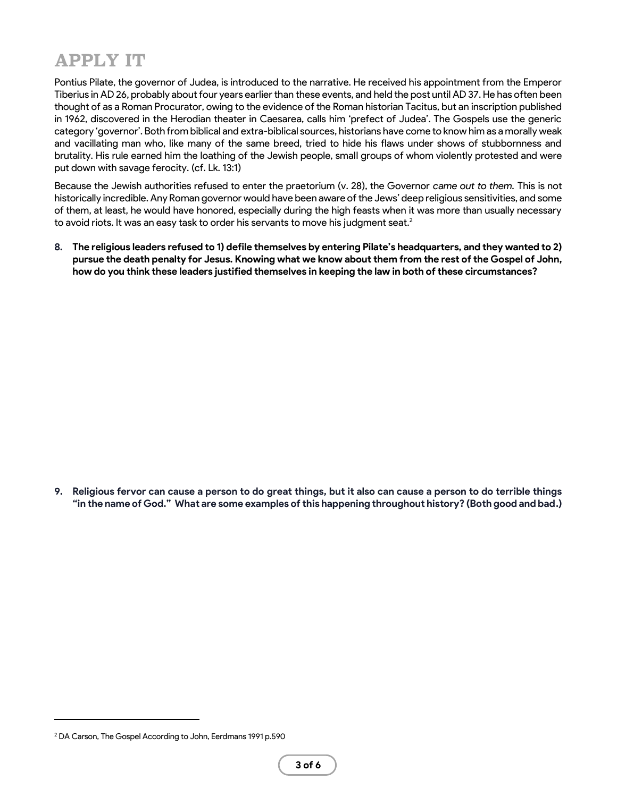# APPLY IT

Pontius Pilate, the governor of Judea, is introduced to the narrative. He received his appointment from the Emperor Tiberius in AD 26, probably about four years earlier than these events, and held the post until AD 37. He has often been thought of as a Roman Procurator, owing to the evidence of the Roman historian Tacitus, but an inscription published in 1962, discovered in the Herodian theater in Caesarea, calls him 'prefect of Judea'. The Gospels use the generic category 'governor'. Both from biblical and extra-biblical sources, historians have come to know him as a morally weak and vacillating man who, like many of the same breed, tried to hide his flaws under shows of stubbornness and brutality. His rule earned him the loathing of the Jewish people, small groups of whom violently protested and were put down with savage ferocity. (cf. Lk. 13:1)

Because the Jewish authorities refused to enter the praetorium (v. 28), the Governor *came out to them.* This is not historically incredible. Any Roman governor would have been aware of the Jews' deep religious sensitivities, and some of them, at least, he would have honored, especially during the high feasts when it was more than usually necessary to avoid riots. It was an easy task to order his servants to move his judgment seat.<sup>2</sup>

**8. The religious leaders refused to 1) defile themselves by entering Pilate's headquarters, and they wanted to 2) pursue the death penalty for Jesus. Knowing what we know about them from the rest of the Gospel of John, how do you think these leaders justified themselves in keeping the law in both of these circumstances?**

**9. Religious fervor can cause a person to do great things, but it also can cause a person to do terrible things "in the name of God." What are some examples of this happening throughout history? (Both good and bad.)**

<sup>2</sup> DA Carson, The Gospel According to John, Eerdmans 1991 p.590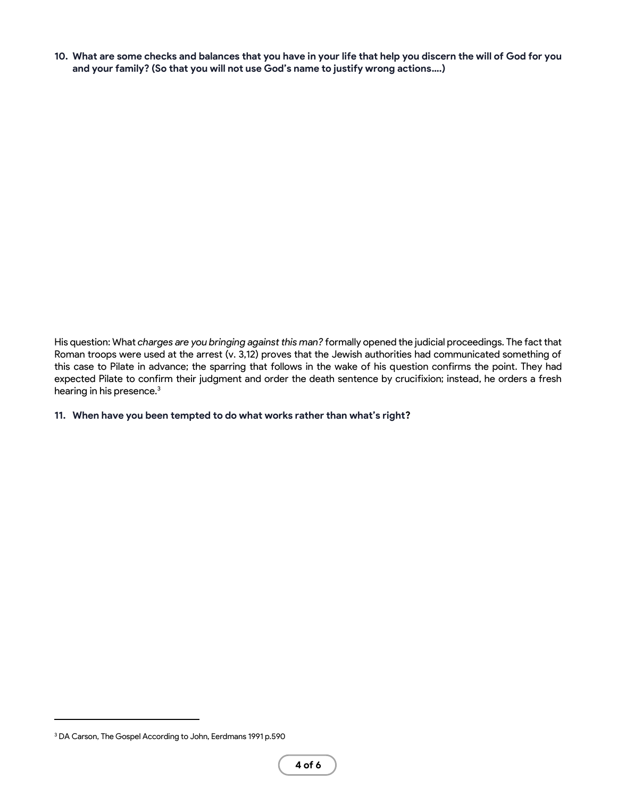**10. What are some checks and balances that you have in your life that help you discern the will of God for you and your family? (So that you will not use God's name to justify wrong actions….)**

His question: What *charges are you bringing against this man?* formally opened the judicial proceedings. The fact that Roman troops were used at the arrest (v. 3,12) proves that the Jewish authorities had communicated something of this case to Pilate in advance; the sparring that follows in the wake of his question confirms the point. They had expected Pilate to confirm their judgment and order the death sentence by crucifixion; instead, he orders a fresh hearing in his presence.<sup>3</sup>

#### **11. When have you been tempted to do what works rather than what's right?**

<sup>3</sup> DA Carson, The Gospel According to John, Eerdmans 1991 p.590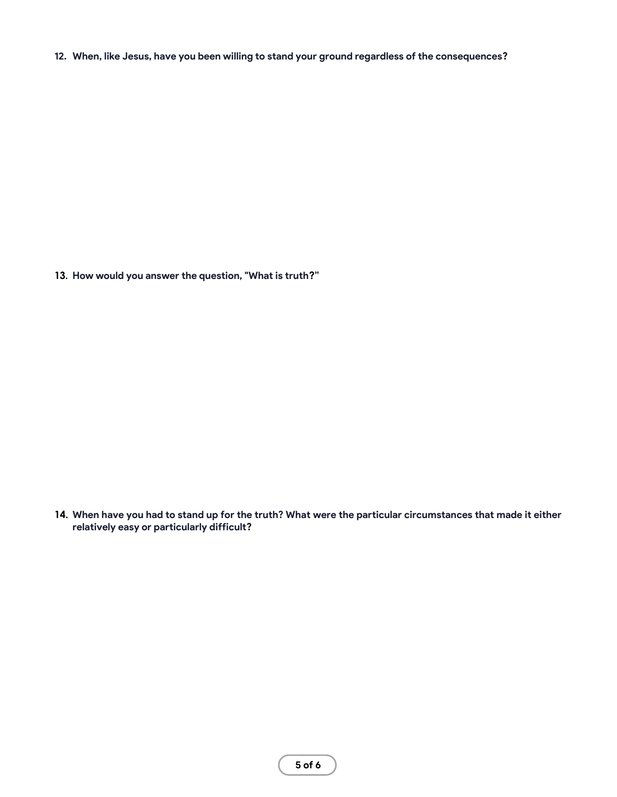**12. When, like Jesus, have you been willing to stand your ground regardless of the consequences?**

**13. How would you answer the question, "What is truth?"**

**14. When have you had to stand up for the truth? What were the particular circumstances that made it either relatively easy or particularly difficult?**